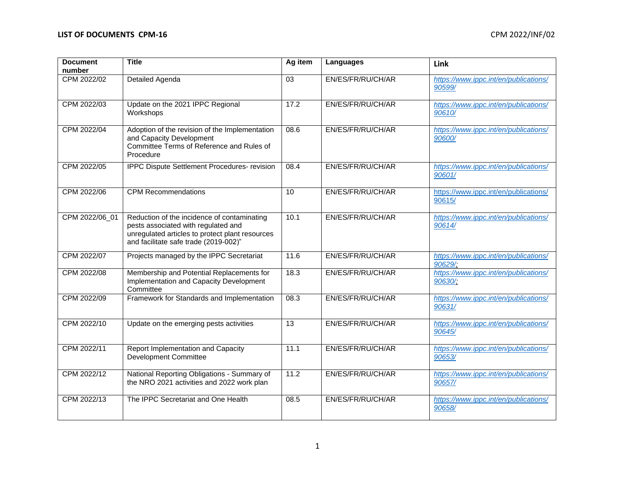| <b>Document</b><br>number | <b>Title</b>                                                                                                                                                                   | Ag item | Languages         | Link                                             |
|---------------------------|--------------------------------------------------------------------------------------------------------------------------------------------------------------------------------|---------|-------------------|--------------------------------------------------|
| CPM 2022/02               | Detailed Agenda                                                                                                                                                                | 03      | EN/ES/FR/RU/CH/AR | https://www.ippc.int/en/publications/<br>90599/  |
| CPM 2022/03               | Update on the 2021 IPPC Regional<br>Workshops                                                                                                                                  | 17.2    | EN/ES/FR/RU/CH/AR | https://www.ippc.int/en/publications/<br>90610/  |
| CPM 2022/04               | Adoption of the revision of the Implementation<br>and Capacity Development<br>Committee Terms of Reference and Rules of<br>Procedure                                           | 08.6    | EN/ES/FR/RU/CH/AR | https://www.ippc.int/en/publications/<br>90600/  |
| CPM 2022/05               | IPPC Dispute Settlement Procedures- revision                                                                                                                                   | 08.4    | EN/ES/FR/RU/CH/AR | https://www.ippc.int/en/publications/<br>90601/  |
| CPM 2022/06               | <b>CPM Recommendations</b>                                                                                                                                                     | 10      | EN/ES/FR/RU/CH/AR | https://www.ippc.int/en/publications/<br>90615/  |
| CPM 2022/06_01            | Reduction of the incidence of contaminating<br>pests associated with regulated and<br>unregulated articles to protect plant resources<br>and facilitate safe trade (2019-002)" | 10.1    | EN/ES/FR/RU/CH/AR | https://www.ippc.int/en/publications/<br>90614/  |
| CPM 2022/07               | Projects managed by the IPPC Secretariat                                                                                                                                       | 11.6    | EN/ES/FR/RU/CH/AR | https://www.ippc.int/en/publications/<br>90629/  |
| CPM 2022/08               | Membership and Potential Replacements for<br>Implementation and Capacity Development<br>Committee                                                                              | 18.3    | EN/ES/FR/RU/CH/AR | https://www.ippc.int/en/publications/<br>90630/; |
| CPM 2022/09               | Framework for Standards and Implementation                                                                                                                                     | 08.3    | EN/ES/FR/RU/CH/AR | https://www.ippc.int/en/publications/<br>90631/  |
| CPM 2022/10               | Update on the emerging pests activities                                                                                                                                        | 13      | EN/ES/FR/RU/CH/AR | https://www.ippc.int/en/publications/<br>90645/  |
| CPM 2022/11               | Report Implementation and Capacity<br><b>Development Committee</b>                                                                                                             | 11.1    | EN/ES/FR/RU/CH/AR | https://www.ippc.int/en/publications/<br>90653/  |
| CPM 2022/12               | National Reporting Obligations - Summary of<br>the NRO 2021 activities and 2022 work plan                                                                                      | 11.2    | EN/ES/FR/RU/CH/AR | https://www.ippc.int/en/publications/<br>90657/  |
| CPM 2022/13               | The IPPC Secretariat and One Health                                                                                                                                            | 08.5    | EN/ES/FR/RU/CH/AR | https://www.ippc.int/en/publications/<br>90658/  |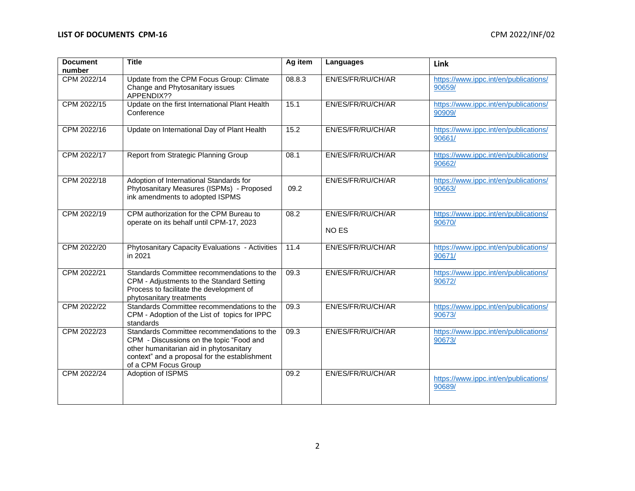| <b>Document</b><br>number | <b>Title</b>                                                                                                                                                                                               | Ag item | Languages                         | Link                                            |
|---------------------------|------------------------------------------------------------------------------------------------------------------------------------------------------------------------------------------------------------|---------|-----------------------------------|-------------------------------------------------|
| CPM 2022/14               | Update from the CPM Focus Group: Climate<br>Change and Phytosanitary issues<br>APPENDIX??                                                                                                                  | 08.8.3  | EN/ES/FR/RU/CH/AR                 | https://www.ippc.int/en/publications/<br>90659/ |
| CPM 2022/15               | Update on the first International Plant Health<br>Conference                                                                                                                                               | 15.1    | EN/ES/FR/RU/CH/AR                 | https://www.ippc.int/en/publications/<br>90909/ |
| CPM 2022/16               | Update on International Day of Plant Health                                                                                                                                                                | 15.2    | EN/ES/FR/RU/CH/AR                 | https://www.ippc.int/en/publications/<br>90661/ |
| CPM 2022/17               | Report from Strategic Planning Group                                                                                                                                                                       | 08.1    | EN/ES/FR/RU/CH/AR                 | https://www.ippc.int/en/publications/<br>90662/ |
| CPM 2022/18               | Adoption of International Standards for<br>Phytosanitary Measures (ISPMs) - Proposed<br>ink amendments to adopted ISPMS                                                                                    | 09.2    | EN/ES/FR/RU/CH/AR                 | https://www.ippc.int/en/publications/<br>90663/ |
| CPM 2022/19               | CPM authorization for the CPM Bureau to<br>operate on its behalf until CPM-17, 2023                                                                                                                        | 08.2    | EN/ES/FR/RU/CH/AR<br><b>NO ES</b> | https://www.ippc.int/en/publications/<br>90670/ |
| CPM 2022/20               | Phytosanitary Capacity Evaluations - Activities<br>in 2021                                                                                                                                                 | 11.4    | EN/ES/FR/RU/CH/AR                 | https://www.ippc.int/en/publications/<br>90671/ |
| CPM 2022/21               | Standards Committee recommendations to the<br>CPM - Adjustments to the Standard Setting<br>Process to facilitate the development of<br>phytosanitary treatments                                            | 09.3    | EN/ES/FR/RU/CH/AR                 | https://www.ippc.int/en/publications/<br>90672/ |
| CPM 2022/22               | Standards Committee recommendations to the<br>CPM - Adoption of the List of topics for IPPC<br>standards                                                                                                   | 09.3    | EN/ES/FR/RU/CH/AR                 | https://www.ippc.int/en/publications/<br>90673/ |
| CPM 2022/23               | Standards Committee recommendations to the<br>CPM - Discussions on the topic "Food and<br>other humanitarian aid in phytosanitary<br>context" and a proposal for the establishment<br>of a CPM Focus Group | 09.3    | EN/ES/FR/RU/CH/AR                 | https://www.ippc.int/en/publications/<br>90673/ |
| CPM 2022/24               | Adoption of ISPMS                                                                                                                                                                                          | 09.2    | EN/ES/FR/RU/CH/AR                 | https://www.ippc.int/en/publications/<br>90689/ |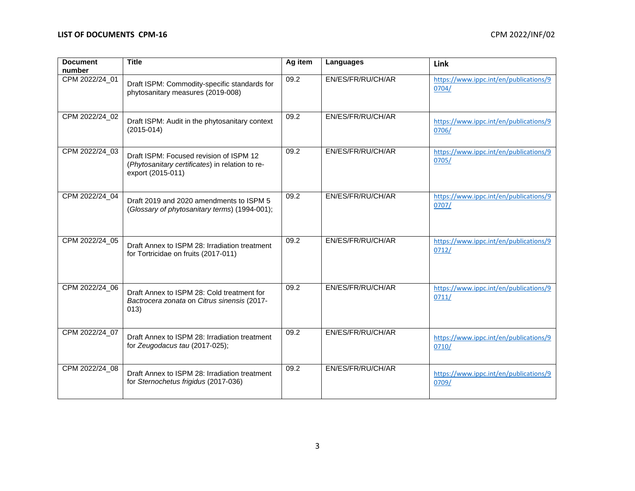## **LIST OF DOCUMENTS CPM-16** CPM 2022/INF/02

| <b>Document</b><br>number | <b>Title</b>                                                                                                    | Ag item | Languages         | Link                                            |
|---------------------------|-----------------------------------------------------------------------------------------------------------------|---------|-------------------|-------------------------------------------------|
| CPM 2022/24_01            | Draft ISPM: Commodity-specific standards for<br>phytosanitary measures (2019-008)                               | 09.2    | EN/ES/FR/RU/CH/AR | https://www.ippc.int/en/publications/9<br>0704/ |
| CPM 2022/24_02            | Draft ISPM: Audit in the phytosanitary context<br>$(2015-014)$                                                  | 09.2    | EN/ES/FR/RU/CH/AR | https://www.ippc.int/en/publications/9<br>0706/ |
| CPM 2022/24_03            | Draft ISPM: Focused revision of ISPM 12<br>(Phytosanitary certificates) in relation to re-<br>export (2015-011) | 09.2    | EN/ES/FR/RU/CH/AR | https://www.ippc.int/en/publications/9<br>0705/ |
| CPM 2022/24_04            | Draft 2019 and 2020 amendments to ISPM 5<br>(Glossary of phytosanitary terms) (1994-001);                       | 09.2    | EN/ES/FR/RU/CH/AR | https://www.ippc.int/en/publications/9<br>0707/ |
| CPM 2022/24_05            | Draft Annex to ISPM 28: Irradiation treatment<br>for Tortricidae on fruits (2017-011)                           | 09.2    | EN/ES/FR/RU/CH/AR | https://www.ippc.int/en/publications/9<br>0712/ |
| CPM 2022/24_06            | Draft Annex to ISPM 28: Cold treatment for<br>Bactrocera zonata on Citrus sinensis (2017-<br>(013)              | 09.2    | EN/ES/FR/RU/CH/AR | https://www.ippc.int/en/publications/9<br>0711/ |
| CPM 2022/24_07            | Draft Annex to ISPM 28: Irradiation treatment<br>for Zeugodacus tau $(2017-025)$ ;                              | 09.2    | EN/ES/FR/RU/CH/AR | https://www.ippc.int/en/publications/9<br>0710/ |
| CPM 2022/24_08            | Draft Annex to ISPM 28: Irradiation treatment<br>for Sternochetus frigidus (2017-036)                           | 09.2    | EN/ES/FR/RU/CH/AR | https://www.ippc.int/en/publications/9<br>0709/ |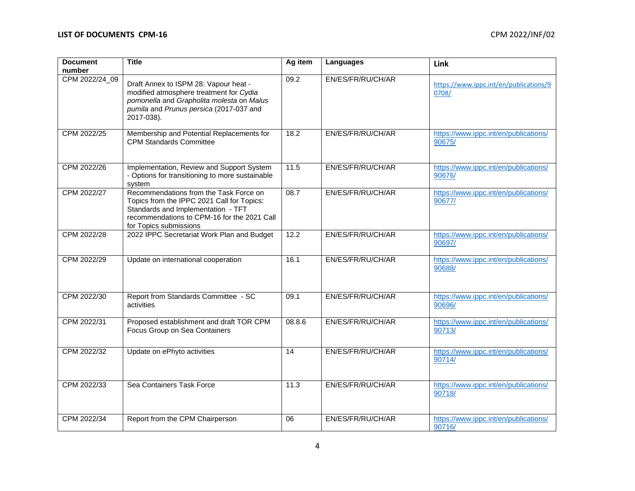## **LIST OF DOCUMENTS CPM-16** CPM 2022/INF/02

| <b>Document</b> | <b>Title</b>                                                                                                                                                                                        | Ag item | Languages         | Link                                            |
|-----------------|-----------------------------------------------------------------------------------------------------------------------------------------------------------------------------------------------------|---------|-------------------|-------------------------------------------------|
| number          |                                                                                                                                                                                                     |         |                   |                                                 |
| CPM 2022/24_09  | Draft Annex to ISPM 28: Vapour heat -<br>modified atmosphere treatment for Cydia<br>pomonella and Grapholita molesta on Malus<br>pumila and Prunus persica (2017-037 and<br>2017-038).              | 09.2    | EN/ES/FR/RU/CH/AR | https://www.ippc.int/en/publications/9<br>0708/ |
| CPM 2022/25     | Membership and Potential Replacements for<br><b>CPM Standards Committee</b>                                                                                                                         | 18.2    | EN/ES/FR/RU/CH/AR | https://www.ippc.int/en/publications/<br>90675/ |
| CPM 2022/26     | Implementation, Review and Support System<br>- Options for transitioning to more sustainable<br>system                                                                                              | 11.5    | EN/ES/FR/RU/CH/AR | https://www.ippc.int/en/publications/<br>90676/ |
| CPM 2022/27     | Recommendations from the Task Force on<br>Topics from the IPPC 2021 Call for Topics:<br>Standards and Implementation - TFT<br>recommendations to CPM-16 for the 2021 Call<br>for Topics submissions | 08.7    | EN/ES/FR/RU/CH/AR | https://www.ippc.int/en/publications/<br>90677/ |
| CPM 2022/28     | 2022 IPPC Secretariat Work Plan and Budget                                                                                                                                                          | 12.2    | EN/ES/FR/RU/CH/AR | https://www.ippc.int/en/publications/<br>90697/ |
| CPM 2022/29     | Update on international cooperation                                                                                                                                                                 | 16.1    | EN/ES/FR/RU/CH/AR | https://www.ippc.int/en/publications/<br>90688/ |
| CPM 2022/30     | Report from Standards Committee - SC<br>activities                                                                                                                                                  | 09.1    | EN/ES/FR/RU/CH/AR | https://www.ippc.int/en/publications/<br>90696/ |
| CPM 2022/31     | Proposed establishment and draft TOR CPM<br>Focus Group on Sea Containers                                                                                                                           | 08.8.6  | EN/ES/FR/RU/CH/AR | https://www.ippc.int/en/publications/<br>90713/ |
| CPM 2022/32     | Update on ePhyto activities                                                                                                                                                                         | 14      | EN/ES/FR/RU/CH/AR | https://www.ippc.int/en/publications/<br>90714/ |
| CPM 2022/33     | Sea Containers Task Force                                                                                                                                                                           | 11.3    | EN/ES/FR/RU/CH/AR | https://www.ippc.int/en/publications/<br>90718/ |
| CPM 2022/34     | Report from the CPM Chairperson                                                                                                                                                                     | 06      | EN/ES/FR/RU/CH/AR | https://www.ippc.int/en/publications/<br>90716/ |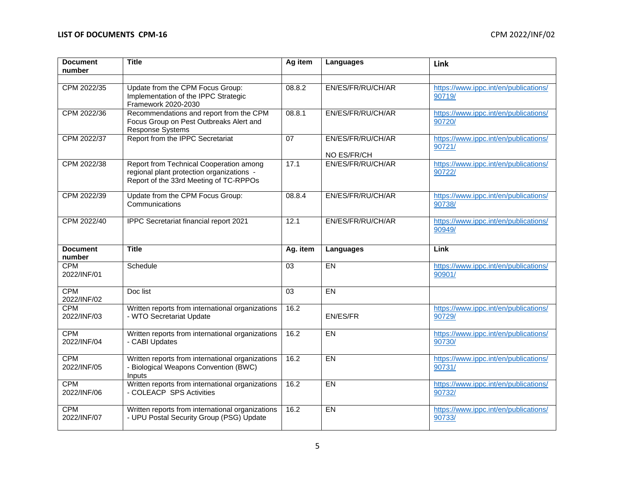| <b>Document</b>           | <b>Title</b>                                                                                                                   | Ag item  | Languages                        | Link                                            |
|---------------------------|--------------------------------------------------------------------------------------------------------------------------------|----------|----------------------------------|-------------------------------------------------|
| number                    |                                                                                                                                |          |                                  |                                                 |
| CPM 2022/35               | Update from the CPM Focus Group:<br>Implementation of the IPPC Strategic<br>Framework 2020-2030                                | 08.8.2   | EN/ES/FR/RU/CH/AR                | https://www.ippc.int/en/publications/<br>90719/ |
| CPM 2022/36               | Recommendations and report from the CPM<br>Focus Group on Pest Outbreaks Alert and<br><b>Response Systems</b>                  | 08.8.1   | EN/ES/FR/RU/CH/AR                | https://www.ippc.int/en/publications/<br>90720/ |
| CPM 2022/37               | Report from the IPPC Secretariat                                                                                               | 07       | EN/ES/FR/RU/CH/AR<br>NO ES/FR/CH | https://www.ippc.int/en/publications/<br>90721/ |
| CPM 2022/38               | Report from Technical Cooperation among<br>regional plant protection organizations -<br>Report of the 33rd Meeting of TC-RPPOs | 17.1     | EN/ES/FR/RU/CH/AR                | https://www.ippc.int/en/publications/<br>90722/ |
| CPM 2022/39               | Update from the CPM Focus Group:<br>Communications                                                                             | 08.8.4   | EN/ES/FR/RU/CH/AR                | https://www.ippc.int/en/publications/<br>90738/ |
| CPM 2022/40               | IPPC Secretariat financial report 2021                                                                                         | 12.1     | EN/ES/FR/RU/CH/AR                | https://www.ippc.int/en/publications/<br>90949/ |
|                           |                                                                                                                                |          |                                  |                                                 |
| <b>Document</b><br>number | <b>Title</b>                                                                                                                   | Ag. item | Languages                        | Link                                            |
| <b>CPM</b><br>2022/INF/01 | Schedule                                                                                                                       | 03       | <b>EN</b>                        | https://www.ippc.int/en/publications/<br>90901  |
| <b>CPM</b><br>2022/INF/02 | Doc list                                                                                                                       | 03       | EN                               |                                                 |
| <b>CPM</b><br>2022/INF/03 | Written reports from international organizations<br>- WTO Secretariat Update                                                   | 16.2     | EN/ES/FR                         | https://www.ippc.int/en/publications/<br>90729/ |
| <b>CPM</b><br>2022/INF/04 | Written reports from international organizations<br>- CABI Updates                                                             | 16.2     | $E$ <sub>N</sub>                 | https://www.ippc.int/en/publications/<br>90730/ |
| <b>CPM</b><br>2022/INF/05 | Written reports from international organizations<br>- Biological Weapons Convention (BWC)<br>Inputs                            | 16.2     | <b>EN</b>                        | https://www.ippc.int/en/publications/<br>90731/ |
| <b>CPM</b><br>2022/INF/06 | Written reports from international organizations<br>- COLEACP SPS Activities                                                   | 16.2     | $E$ <sub>N</sub>                 | https://www.ippc.int/en/publications/<br>90732/ |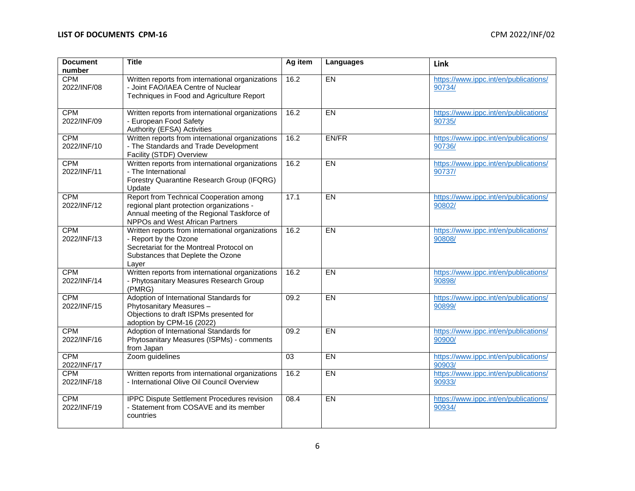## **LIST OF DOCUMENTS CPM-16** CPM 2022/INF/02

| <b>Document</b>           | <b>Title</b>                                                                                                                                                           | Ag item         | Languages        | Link                                            |
|---------------------------|------------------------------------------------------------------------------------------------------------------------------------------------------------------------|-----------------|------------------|-------------------------------------------------|
| number                    |                                                                                                                                                                        |                 |                  |                                                 |
| <b>CPM</b><br>2022/INF/08 | Written reports from international organizations<br>- Joint FAO/IAEA Centre of Nuclear<br>Techniques in Food and Agriculture Report                                    | 16.2            | EN               | https://www.ippc.int/en/publications/<br>90734/ |
| <b>CPM</b><br>2022/INF/09 | Written reports from international organizations<br>- European Food Safety<br>Authority (EFSA) Activities                                                              | 16.2            | <b>EN</b>        | https://www.ippc.int/en/publications/<br>90735/ |
| <b>CPM</b><br>2022/INF/10 | Written reports from international organizations<br>- The Standards and Trade Development<br>Facility (STDF) Overview                                                  | 16.2            | EN/FR            | https://www.ippc.int/en/publications/<br>90736/ |
| <b>CPM</b><br>2022/INF/11 | Written reports from international organizations<br>- The International<br>Forestry Quarantine Research Group (IFQRG)<br>Update                                        | 16.2            | $E$ <sub>N</sub> | https://www.ippc.int/en/publications/<br>90737/ |
| <b>CPM</b><br>2022/INF/12 | Report from Technical Cooperation among<br>regional plant protection organizations -<br>Annual meeting of the Regional Taskforce of<br>NPPOs and West African Partners | 17.1            | <b>EN</b>        | https://www.ippc.int/en/publications/<br>90802/ |
| <b>CPM</b><br>2022/INF/13 | Written reports from international organizations<br>- Report by the Ozone<br>Secretariat for the Montreal Protocol on<br>Substances that Deplete the Ozone<br>Layer    | 16.2            | <b>EN</b>        | https://www.ippc.int/en/publications/<br>90808/ |
| <b>CPM</b><br>2022/INF/14 | Written reports from international organizations<br>- Phytosanitary Measures Research Group<br>(PMRG)                                                                  | 16.2            | $E$ <sub>N</sub> | https://www.ippc.int/en/publications/<br>90898/ |
| <b>CPM</b><br>2022/INF/15 | Adoption of International Standards for<br>Phytosanitary Measures -<br>Objections to draft ISPMs presented for<br>adoption by CPM-16 (2022)                            | 09.2            | <b>EN</b>        | https://www.ippc.int/en/publications/<br>90899/ |
| <b>CPM</b><br>2022/INF/16 | Adoption of International Standards for<br>Phytosanitary Measures (ISPMs) - comments<br>from Japan                                                                     | 09.2            | $E$ <sub>N</sub> | https://www.ippc.int/en/publications/<br>90900/ |
| <b>CPM</b><br>2022/INF/17 | Zoom guidelines                                                                                                                                                        | $\overline{03}$ | $E$ <sub>N</sub> | https://www.ippc.int/en/publications/<br>90903/ |
| <b>CPM</b><br>2022/INF/18 | Written reports from international organizations<br>- International Olive Oil Council Overview                                                                         | 16.2            | EN               | https://www.ippc.int/en/publications/<br>90933/ |
| <b>CPM</b><br>2022/INF/19 | IPPC Dispute Settlement Procedures revision<br>- Statement from COSAVE and its member<br>countries                                                                     | 08.4            | <b>EN</b>        | https://www.ippc.int/en/publications/<br>90934/ |